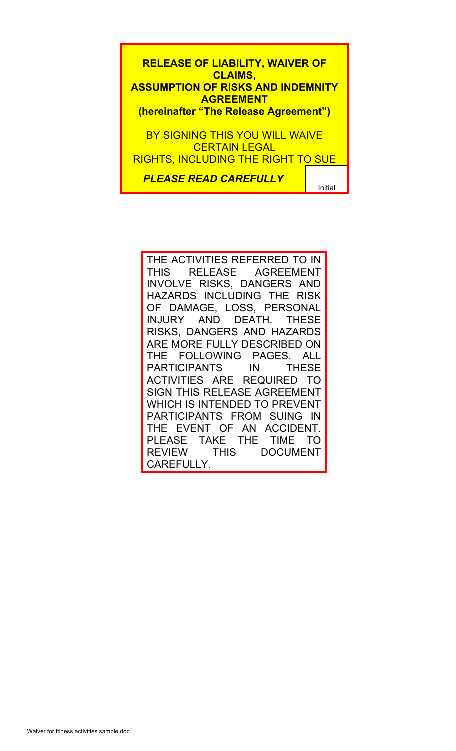**RELEASE OF LIABILITY, WAIVER OF CLAIMS, ASSUMPTION OF RISKS AND INDEMNITY AGREEMENT (hereinafter "The Release Agreement")** BY SIGNING THIS YOU WILL WAIVE CERTAIN LEGAL RIGHTS, INCLUDING THE RIGHT TO SUE

*PLEASE READ CAREFULLY*

Initial

THE ACTIVITIES REFERRED TO IN THIS RELEASE AGREEMENT INVOLVE RISKS, DANGERS AND HAZARDS INCLUDING THE RISK § OF DAMAGE, LOSS, PERSONAL ST BAMAIOL, LOOD, PLACOTAL RISKS, DANGERS AND HAZARDS ARE MORE FULLY DESCRIBED ON THE FOLLOWING PAGES. ALL PARTICIPANTS IN THESE ACTIVITIES ARE REQUIRED TO SIGN THIS RELEASE AGREEMENT WHICH IS INTENDED TO PREVENT PARTICIPANTS FROM SUING IN THE EVENT OF AN ACCIDENT. PLEASE TAKE THE TIME TO REVIEW THIS DOCUMENT CAREFULLY.